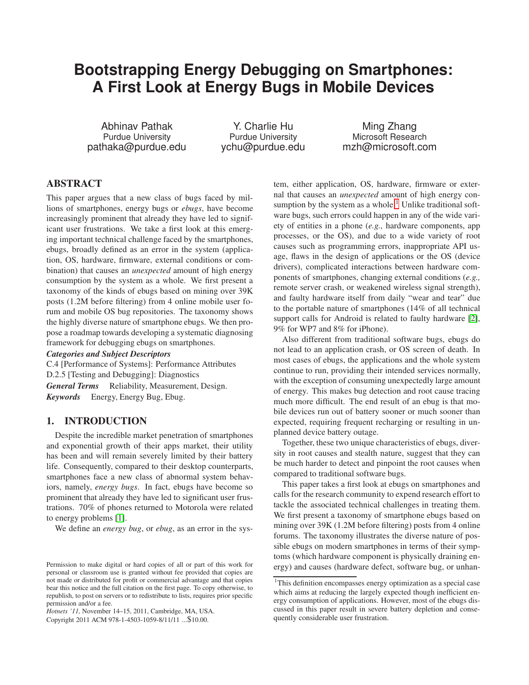# **Bootstrapping Energy Debugging on Smartphones: A First Look at Energy Bugs in Mobile Devices**

Abhinav Pathak Purdue University pathaka@purdue.edu

Y. Charlie Hu Purdue University ychu@purdue.edu

Ming Zhang Microsoft Research mzh@microsoft.com

# **ABSTRACT**

This paper argues that a new class of bugs faced by millions of smartphones, energy bugs or *ebugs*, have become increasingly prominent that already they have led to significant user frustrations. We take a first look at this emerging important technical challenge faced by the smartphones, ebugs, broadly defined as an error in the system (application, OS, hardware, firmware, external conditions or combination) that causes an *unexpected* amount of high energy consumption by the system as a whole. We first present a taxonomy of the kinds of ebugs based on mining over 39K posts (1.2M before filtering) from 4 online mobile user forum and mobile OS bug repositories. The taxonomy shows the highly diverse nature of smartphone ebugs. We then propose a roadmap towards developing a systematic diagnosing framework for debugging ebugs on smartphones.

#### *Categories and Subject Descriptors*

C.4 [Performance of Systems]: Performance Attributes D.2.5 [Testing and Debugging]: Diagnostics *General Terms* Reliability, Measurement, Design. *Keywords* Energy, Energy Bug, Ebug.

# **1. INTRODUCTION**

Despite the incredible market penetration of smartphones and exponential growth of their apps market, their utility has been and will remain severely limited by their battery life. Consequently, compared to their desktop counterparts, smartphones face a new class of abnormal system behaviors, namely, *energy bugs*. In fact, ebugs have become so prominent that already they have led to significant user frustrations. 70% of phones returned to Motorola were related to energy problems [\[1\]](#page-5-0).

We define an *energy bug*, or *ebug*, as an error in the sys-

Copyright 2011 ACM 978-1-4503-1059-8/11/11 ...\$10.00.

tem, either application, OS, hardware, firmware or external that causes an *unexpected* amount of high energy con-sumption by the system as a whole.<sup>[1](#page-0-0)</sup> Unlike traditional software bugs, such errors could happen in any of the wide variety of entities in a phone (*e.g.,* hardware components, app processes, or the OS), and due to a wide variety of root causes such as programming errors, inappropriate API usage, flaws in the design of applications or the OS (device drivers), complicated interactions between hardware components of smartphones, changing external conditions (*e.g.,* remote server crash, or weakened wireless signal strength), and faulty hardware itself from daily "wear and tear" due to the portable nature of smartphones (14% of all technical support calls for Android is related to faulty hardware [\[2\]](#page-5-1), 9% for WP7 and 8% for iPhone).

Also different from traditional software bugs, ebugs do not lead to an application crash, or OS screen of death. In most cases of ebugs, the applications and the whole system continue to run, providing their intended services normally, with the exception of consuming unexpectedly large amount of energy. This makes bug detection and root cause tracing much more difficult. The end result of an ebug is that mobile devices run out of battery sooner or much sooner than expected, requiring frequent recharging or resulting in unplanned device battery outage.

Together, these two unique characteristics of ebugs, diversity in root causes and stealth nature, suggest that they can be much harder to detect and pinpoint the root causes when compared to traditional software bugs.

This paper takes a first look at ebugs on smartphones and calls for the research community to expend research effort to tackle the associated technical challenges in treating them. We first present a taxonomy of smartphone ebugs based on mining over 39K (1.2M before filtering) posts from 4 online forums. The taxonomy illustrates the diverse nature of possible ebugs on modern smartphones in terms of their symptoms (which hardware component is physically draining energy) and causes (hardware defect, software bug, or unhan-

Permission to make digital or hard copies of all or part of this work for personal or classroom use is granted without fee provided that copies are not made or distributed for profit or commercial advantage and that copies bear this notice and the full citation on the first page. To copy otherwise, to republish, to post on servers or to redistribute to lists, requires prior specific permission and/or a fee.

*Hotnets '11,* November 14–15, 2011, Cambridge, MA, USA.

<span id="page-0-0"></span><sup>&</sup>lt;sup>1</sup>This definition encompasses energy optimization as a special case which aims at reducing the largely expected though inefficient energy consumption of applications. However, most of the ebugs discussed in this paper result in severe battery depletion and consequently considerable user frustration.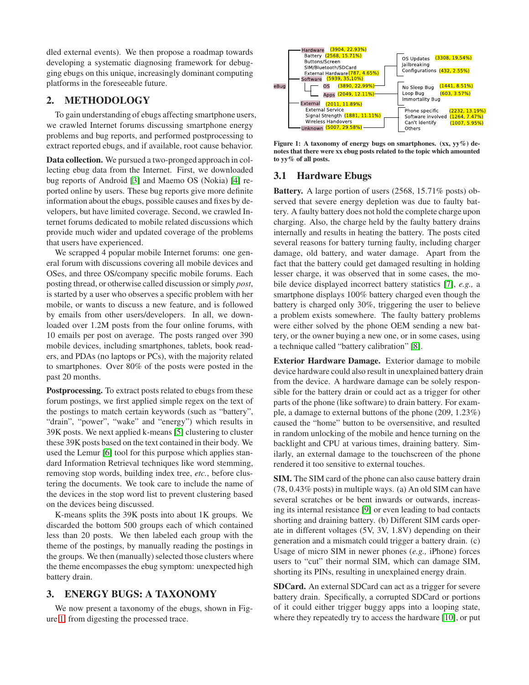dled external events). We then propose a roadmap towards developing a systematic diagnosing framework for debugging ebugs on this unique, increasingly dominant computing platforms in the foreseeable future.

# **2. METHODOLOGY**

To gain understanding of ebugs affecting smartphone users, we crawled Internet forums discussing smartphone energy problems and bug reports, and performed postprocessing to extract reported ebugs, and if available, root cause behavior.

**Data collection.** We pursued a two-pronged approach in collecting ebug data from the Internet. First, we downloaded bug reports of Android [\[3\]](#page-5-2) and Maemo OS (Nokia) [\[4\]](#page-5-3) reported online by users. These bug reports give more definite information about the ebugs, possible causes and fixes by developers, but have limited coverage. Second, we crawled Internet forums dedicated to mobile related discussions which provide much wider and updated coverage of the problems that users have experienced.

We scrapped 4 popular mobile Internet forums: one general forum with discussions covering all mobile devices and OSes, and three OS/company specific mobile forums. Each posting thread, or otherwise called discussion or simply *post*, is started by a user who observes a specific problem with her mobile, or wants to discuss a new feature, and is followed by emails from other users/developers. In all, we downloaded over 1.2M posts from the four online forums, with 10 emails per post on average. The posts ranged over 390 mobile devices, including smartphones, tablets, book readers, and PDAs (no laptops or PCs), with the majority related to smartphones. Over 80% of the posts were posted in the past 20 months.

**Postprocessing.** To extract posts related to ebugs from these forum postings, we first applied simple regex on the text of the postings to match certain keywords (such as "battery", "drain", "power", "wake" and "energy") which results in 39K posts. We next applied k-means [\[5\]](#page-5-4) clustering to cluster these 39K posts based on the text contained in their body. We used the Lemur [\[6\]](#page-5-5) tool for this purpose which applies standard Information Retrieval techniques like word stemming, removing stop words, building index tree, *etc.*, before clustering the documents. We took care to include the name of the devices in the stop word list to prevent clustering based on the devices being discussed.

K-means splits the 39K posts into about 1K groups. We discarded the bottom 500 groups each of which contained less than 20 posts. We then labeled each group with the theme of the postings, by manually reading the postings in the groups. We then (manually) selected those clusters where the theme encompasses the ebug symptom: unexpected high battery drain.

# <span id="page-1-1"></span>**3. ENERGY BUGS: A TAXONOMY**

We now present a taxonomy of the ebugs, shown in Figure [1,](#page-1-0) from digesting the processed trace.

<span id="page-1-0"></span>

**Figure 1: A taxonomy of energy bugs on smartphones. (xx, yy%) denotes that there were xx ebug posts related to the topic which amounted to yy% of all posts.**

# **3.1 Hardware Ebugs**

**Battery.** A large portion of users (2568, 15.71% posts) observed that severe energy depletion was due to faulty battery. A faulty battery does not hold the complete charge upon charging. Also, the charge held by the faulty battery drains internally and results in heating the battery. The posts cited several reasons for battery turning faulty, including charger damage, old battery, and water damage. Apart from the fact that the battery could get damaged resulting in holding lesser charge, it was observed that in some cases, the mobile device displayed incorrect battery statistics [\[7\]](#page-5-6), *e.g.,* a smartphone displays 100% battery charged even though the battery is charged only 30%, triggering the user to believe a problem exists somewhere. The faulty battery problems were either solved by the phone OEM sending a new battery, or the owner buying a new one, or in some cases, using a technique called "battery calibration" [\[8\]](#page-5-7).

**Exterior Hardware Damage.** Exterior damage to mobile device hardware could also result in unexplained battery drain from the device. A hardware damage can be solely responsible for the battery drain or could act as a trigger for other parts of the phone (like software) to drain battery. For example, a damage to external buttons of the phone (209, 1.23%) caused the "home" button to be oversensitive, and resulted in random unlocking of the mobile and hence turning on the backlight and CPU at various times, draining battery. Similarly, an external damage to the touchscreen of the phone rendered it too sensitive to external touches.

**SIM.** The SIM card of the phone can also cause battery drain (78, 0.43% posts) in multiple ways. (a) An old SIM can have several scratches or be bent inwards or outwards, increasing its internal resistance [\[9\]](#page-5-8) or even leading to bad contacts shorting and draining battery. (b) Different SIM cards operate in different voltages (5V, 3V, 1.8V) depending on their generation and a mismatch could trigger a battery drain. (c) Usage of micro SIM in newer phones (*e.g.,* iPhone) forces users to "cut" their normal SIM, which can damage SIM, shorting its PINs, resulting in unexplained energy drain.

**SDCard.** An external SDCard can act as a trigger for severe battery drain. Specifically, a corrupted SDCard or portions of it could either trigger buggy apps into a looping state, where they repeatedly try to access the hardware [\[10\]](#page-5-9), or put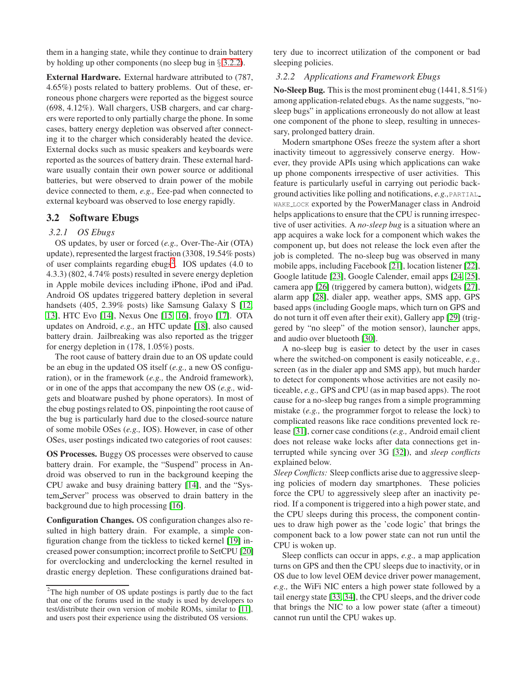them in a hanging state, while they continue to drain battery by holding up other components (no sleep bug in § [3.2.2\)](#page-2-0).

**External Hardware.** External hardware attributed to (787, 4.65%) posts related to battery problems. Out of these, erroneous phone chargers were reported as the biggest source (698, 4.12%). Wall chargers, USB chargers, and car chargers were reported to only partially charge the phone. In some cases, battery energy depletion was observed after connecting it to the charger which considerably heated the device. External docks such as music speakers and keyboards were reported as the sources of battery drain. These external hardware usually contain their own power source or additional batteries, but were observed to drain power of the mobile device connected to them, *e.g.,* Eee-pad when connected to external keyboard was observed to lose energy rapidly.

#### <span id="page-2-2"></span>**3.2 Software Ebugs**

#### *3.2.1 OS Ebugs*

OS updates, by user or forced (*e.g.,* Over-The-Air (OTA) update), represented the largest fraction (3308, 19.54% posts) of user complaints regarding ebugs<sup>[2](#page-2-1)</sup>. IOS updates (4.0 to 4.3.3) (802, 4.74% posts) resulted in severe energy depletion in Apple mobile devices including iPhone, iPod and iPad. Android OS updates triggered battery depletion in several handsets (405, 2.39% posts) like Samsung Galaxy S [\[12,](#page-5-10) [13\]](#page-5-11), HTC Evo [\[14\]](#page-5-12), Nexus One [\[15,](#page-5-13) [16\]](#page-5-14), froyo [\[17\]](#page-5-15). OTA updates on Android, *e.g.,* an HTC update [\[18\]](#page-5-16), also caused battery drain. Jailbreaking was also reported as the trigger for energy depletion in (178, 1.05%) posts.

The root cause of battery drain due to an OS update could be an ebug in the updated OS itself (*e.g.,* a new OS configuration), or in the framework (*e.g.,* the Android framework), or in one of the apps that accompany the new OS (*e.g.,* widgets and bloatware pushed by phone operators). In most of the ebug postings related to OS, pinpointing the root cause of the bug is particularly hard due to the closed-source nature of some mobile OSes (*e.g.,* IOS). However, in case of other OSes, user postings indicated two categories of root causes:

**OS Processes.** Buggy OS processes were observed to cause battery drain. For example, the "Suspend" process in Android was observed to run in the background keeping the CPU awake and busy draining battery [\[14\]](#page-5-12), and the "System Server" process was observed to drain battery in the background due to high processing [\[16\]](#page-5-14).

**Configuration Changes.** OS configuration changes also resulted in high battery drain. For example, a simple configuration change from the tickless to ticked kernel [\[19\]](#page-5-17) increased power consumption; incorrect profile to SetCPU [\[20\]](#page-5-18) for overclocking and underclocking the kernel resulted in drastic energy depletion. These configurations drained battery due to incorrect utilization of the component or bad sleeping policies.

#### <span id="page-2-0"></span>*3.2.2 Applications and Framework Ebugs*

**No-Sleep Bug.** This is the most prominent ebug (1441, 8.51%) among application-related ebugs. As the name suggests, "nosleep bugs" in applications erroneously do not allow at least one component of the phone to sleep, resulting in unnecessary, prolonged battery drain.

Modern smartphone OSes freeze the system after a short inactivity timeout to aggressively conserve energy. However, they provide APIs using which applications can wake up phone components irrespective of user activities. This feature is particularly useful in carrying out periodic background activities like polling and notifications, *e.g.,*PARTIAL WAKE LOCK exported by the PowerManager class in Android helps applications to ensure that the CPU is running irrespective of user activities. A *no-sleep bug* is a situation where an app acquires a wake lock for a component which wakes the component up, but does not release the lock even after the job is completed. The no-sleep bug was observed in many mobile apps, including Facebook [\[21\]](#page-5-20), location listener [\[22\]](#page-5-21), Google latitude [\[23\]](#page-5-22), Google Calender, email apps [\[24,](#page-5-23) [25\]](#page-5-24), camera app [\[26\]](#page-5-25) (triggered by camera button), widgets [\[27\]](#page-5-26), alarm app [\[28\]](#page-5-27), dialer app, weather apps, SMS app, GPS based apps (including Google maps, which turn on GPS and do not turn it off even after their exit), Gallery app [\[29\]](#page-5-28) (triggered by "no sleep" of the motion sensor), launcher apps, and audio over bluetooth [\[30\]](#page-5-29).

A no-sleep bug is easier to detect by the user in cases where the switched-on component is easily noticeable, *e.g.,* screen (as in the dialer app and SMS app), but much harder to detect for components whose activities are not easily noticeable, *e.g.,* GPS and CPU (as in map based apps). The root cause for a no-sleep bug ranges from a simple programming mistake (*e.g.,* the programmer forgot to release the lock) to complicated reasons like race conditions prevented lock release [\[31\]](#page-5-30), corner case conditions (*e.g.,* Android email client does not release wake locks after data connections get interrupted while syncing over 3G [\[32\]](#page-5-31)), and *sleep conflicts* explained below.

*Sleep Conflicts:* Sleep conflicts arise due to aggressive sleeping policies of modern day smartphones. These policies force the CPU to aggressively sleep after an inactivity period. If a component is triggered into a high power state, and the CPU sleeps during this process, the component continues to draw high power as the 'code logic' that brings the component back to a low power state can not run until the CPU is woken up.

Sleep conflicts can occur in apps, *e.g.,* a map application turns on GPS and then the CPU sleeps due to inactivity, or in OS due to low level OEM device driver power management, *e.g.,* the WiFi NIC enters a high power state followed by a tail energy state [\[33,](#page-5-32) [34\]](#page-5-33), the CPU sleeps, and the driver code that brings the NIC to a low power state (after a timeout) cannot run until the CPU wakes up.

<span id="page-2-1"></span><sup>&</sup>lt;sup>2</sup>The high number of OS update postings is partly due to the fact that one of the forums used in the study is used by developers to test/distribute their own version of mobile ROMs, similar to [\[11\]](#page-5-19), and users post their experience using the distributed OS versions.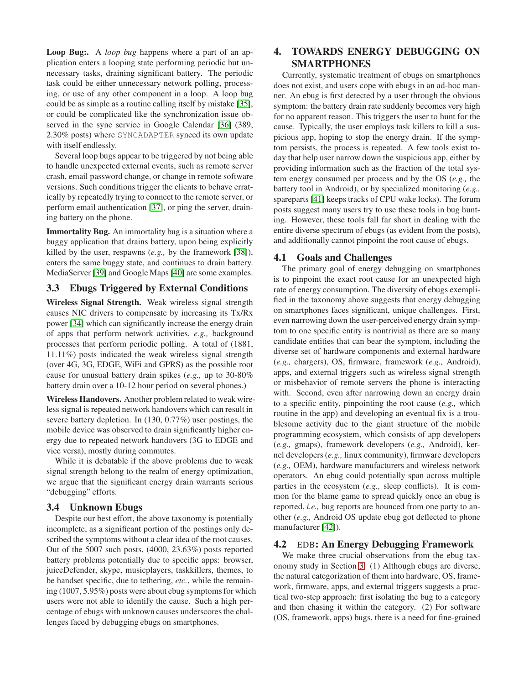**Loop Bug:.** A *loop bug* happens where a part of an application enters a looping state performing periodic but unnecessary tasks, draining significant battery. The periodic task could be either unnecessary network polling, processing, or use of any other component in a loop. A loop bug could be as simple as a routine calling itself by mistake [\[35\]](#page-5-34), or could be complicated like the synchronization issue observed in the sync service in Google Calendar [\[36\]](#page-5-35) (389, 2.30% posts) where SYNCADAPTER synced its own update with itself endlessly.

Several loop bugs appear to be triggered by not being able to handle unexpected external events, such as remote server crash, email password change, or change in remote software versions. Such conditions trigger the clients to behave erratically by repeatedly trying to connect to the remote server, or perform email authentication [\[37\]](#page-5-36), or ping the server, draining battery on the phone.

**Immortality Bug.** An immortality bug is a situation where a buggy application that drains battery, upon being explicitly killed by the user, respawns (*e.g.,* by the framework [\[38\]](#page-5-37)), enters the same buggy state, and continues to drain battery. MediaServer [\[39\]](#page-5-38) and Google Maps [\[40\]](#page-5-39) are some examples.

## <span id="page-3-0"></span>**3.3 Ebugs Triggered by External Conditions**

**Wireless Signal Strength.** Weak wireless signal strength causes NIC drivers to compensate by increasing its Tx/Rx power [\[34\]](#page-5-33) which can significantly increase the energy drain of apps that perform network activities, *e.g.,* background processes that perform periodic polling. A total of (1881, 11.11%) posts indicated the weak wireless signal strength (over 4G, 3G, EDGE, WiFi and GPRS) as the possible root cause for unusual battery drain spikes (*e.g.,* up to 30-80% battery drain over a 10-12 hour period on several phones.)

**Wireless Handovers.** Another problem related to weak wireless signal is repeated network handovers which can result in severe battery depletion. In (130, 0.77%) user postings, the mobile device was observed to drain significantly higher energy due to repeated network handovers (3G to EDGE and vice versa), mostly during commutes.

While it is debatable if the above problems due to weak signal strength belong to the realm of energy optimization, we argue that the significant energy drain warrants serious "debugging" efforts.

#### **3.4 Unknown Ebugs**

Despite our best effort, the above taxonomy is potentially incomplete, as a significant portion of the postings only described the symptoms without a clear idea of the root causes. Out of the 5007 such posts, (4000, 23.63%) posts reported battery problems potentially due to specific apps: browser, juiceDefender, skype, musicplayers, taskkillers, themes, to be handset specific, due to tethering, *etc.*, while the remaining (1007, 5.95%) posts were about ebug symptoms for which users were not able to identify the cause. Such a high percentage of ebugs with unknown causes underscores the challenges faced by debugging ebugs on smartphones.

# **4. TOWARDS ENERGY DEBUGGING ON SMARTPHONES**

Currently, systematic treatment of ebugs on smartphones does not exist, and users cope with ebugs in an ad-hoc manner. An ebug is first detected by a user through the obvious symptom: the battery drain rate suddenly becomes very high for no apparent reason. This triggers the user to hunt for the cause. Typically, the user employs task killers to kill a suspicious app, hoping to stop the energy drain. If the symptom persists, the process is repeated. A few tools exist today that help user narrow down the suspicious app, either by providing information such as the fraction of the total system energy consumed per process and by the OS (*e.g.,* the battery tool in Android), or by specialized monitoring (*e.g.,* spareparts [\[41\]](#page-5-40) keeps tracks of CPU wake locks). The forum posts suggest many users try to use these tools in bug hunting. However, these tools fall far short in dealing with the entire diverse spectrum of ebugs (as evident from the posts), and additionally cannot pinpoint the root cause of ebugs.

#### **4.1 Goals and Challenges**

The primary goal of energy debugging on smartphones is to pinpoint the exact root cause for an unexpected high rate of energy consumption. The diversity of ebugs exemplified in the taxonomy above suggests that energy debugging on smartphones faces significant, unique challenges. First, even narrowing down the user-perceived energy drain symptom to one specific entity is nontrivial as there are so many candidate entities that can bear the symptom, including the diverse set of hardware components and external hardware (*e.g.,* chargers), OS, firmware, framework (*e.g.,* Android), apps, and external triggers such as wireless signal strength or misbehavior of remote servers the phone is interacting with. Second, even after narrowing down an energy drain to a specific entity, pinpointing the root cause (*e.g.,* which routine in the app) and developing an eventual fix is a troublesome activity due to the giant structure of the mobile programming ecosystem, which consists of app developers (*e.g.,* gmaps), framework developers (*e.g.,* Android), kernel developers (*e.g.,* linux community), firmware developers (*e.g.,* OEM), hardware manufacturers and wireless network operators. An ebug could potentially span across multiple parties in the ecosystem (*e.g.,* sleep conflicts). It is common for the blame game to spread quickly once an ebug is reported, *i.e.,* bug reports are bounced from one party to another (*e.g.,* Android OS update ebug got deflected to phone manufacturer [\[42\]](#page-5-41)).

## **4.2** EDB**: An Energy Debugging Framework**

We make three crucial observations from the ebug taxonomy study in Section [3.](#page-1-1) (1) Although ebugs are diverse, the natural categorization of them into hardware, OS, framework, firmware, apps, and external triggers suggests a practical two-step approach: first isolating the bug to a category and then chasing it within the category. (2) For software (OS, framework, apps) bugs, there is a need for fine-grained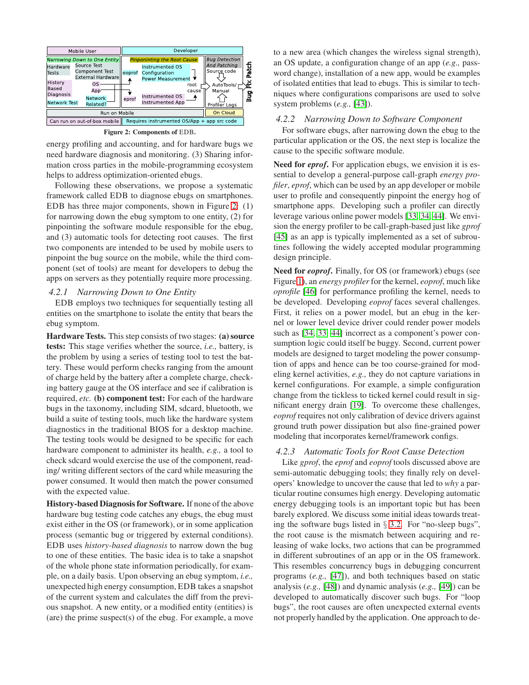<span id="page-4-0"></span>

**Figure 2: Components of** EDB**.**

energy profiling and accounting, and for hardware bugs we need hardware diagnosis and monitoring. (3) Sharing information cross parties in the mobile-programming ecosystem helps to address optimization-oriented ebugs.

Following these observations, we propose a systematic framework called EDB to diagnose ebugs on smartphones. EDB has three major components, shown in Figure [2:](#page-4-0) (1) for narrowing down the ebug symptom to one entity, (2) for pinpointing the software module responsible for the ebug, and (3) automatic tools for detecting root causes. The first two components are intended to be used by mobile users to pinpoint the bug source on the mobile, while the third component (set of tools) are meant for developers to debug the apps on servers as they potentially require more processing.

#### *4.2.1 Narrowing Down to One Entity*

EDB employs two techniques for sequentially testing all entities on the smartphone to isolate the entity that bears the ebug symptom.

**Hardware Tests.** This step consists of two stages: **(a) source tests:** This stage verifies whether the source, *i.e.,* battery, is the problem by using a series of testing tool to test the battery. These would perform checks ranging from the amount of charge held by the battery after a complete charge, checking battery gauge at the OS interface and see if calibration is required, *etc.* **(b) component test:** For each of the hardware bugs in the taxonomy, including SIM, sdcard, bluetooth, we build a suite of testing tools, much like the hardware system diagnostics in the traditional BIOS for a desktop machine. The testing tools would be designed to be specific for each hardware component to administer its health, *e.g.,* a tool to check sdcard would exercise the use of the component, reading/ writing different sectors of the card while measuring the power consumed. It would then match the power consumed with the expected value.

**History-based Diagnosis for Software.** If none of the above hardware bug testing code catches any ebugs, the ebug must exist either in the OS (or framework), or in some application process (semantic bug or triggered by external conditions). EDB uses *history-based diagnosis* to narrow down the bug to one of these entities. The basic idea is to take a snapshot of the whole phone state information periodically, for example, on a daily basis. Upon observing an ebug symptom, *i.e.,* unexpected high energy consumption, EDB takes a snapshot of the current system and calculates the diff from the previous snapshot. A new entity, or a modified entity (entities) is (are) the prime suspect(s) of the ebug. For example, a move to a new area (which changes the wireless signal strength), an OS update, a configuration change of an app (*e.g.,* password change), installation of a new app, would be examples of isolated entities that lead to ebugs. This is similar to techniques where configurations comparisons are used to solve system problems (*e.g.,* [\[43\]](#page-5-42)).

#### *4.2.2 Narrowing Down to Software Component*

For software ebugs, after narrowing down the ebug to the particular application or the OS, the next step is localize the cause to the specific software module.

**Need for** *eprof***.** For application ebugs, we envision it is essential to develop a general-purpose call-graph *energy profiler*, *eprof*, which can be used by an app developer or mobile user to profile and consequently pinpoint the energy hog of smartphone apps. Developing such a profiler can directly leverage various online power models [\[33,](#page-5-32) [34,](#page-5-33) [44\]](#page-5-43). We envision the energy profiler to be call-graph-based just like *gprof* [\[45\]](#page-5-44) as an app is typically implemented as a set of subroutines following the widely accepted modular programming design principle.

**Need for** *eoprof***.** Finally, for OS (or framework) ebugs (see Figure [1\)](#page-1-0), an *energy profiler* for the kernel, *eoprof*, much like *oprofile* [\[46\]](#page-5-45) for performance profiling the kernel, needs to be developed. Developing *eoprof* faces several challenges. First, it relies on a power model, but an ebug in the kernel or lower level device driver could render power models such as [\[34,](#page-5-33) [33,](#page-5-32) [44\]](#page-5-43) incorrect as a component's power consumption logic could itself be buggy. Second, current power models are designed to target modeling the power consumption of apps and hence can be too course-grained for modeling kernel activities, *e.g.,* they do not capture variations in kernel configurations. For example, a simple configuration change from the tickless to ticked kernel could result in significant energy drain [\[19\]](#page-5-17). To overcome these challenges, *eoprof* requires not only calibration of device drivers against ground truth power dissipation but also fine-grained power modeling that incorporates kernel/framework configs.

#### *4.2.3 Automatic Tools for Root Cause Detection*

Like *gprof*, the *eprof* and *eoprof* tools discussed above are semi-automatic debugging tools; they finally rely on developers' knowledge to uncover the cause that led to *why* a particular routine consumes high energy. Developing automatic energy debugging tools is an important topic but has been barely explored. We discuss some initial ideas towards treating the software bugs listed in  $\S$  [3.2.](#page-2-2) For "no-sleep bugs", the root cause is the mismatch between acquiring and releasing of wake locks, two actions that can be programmed in different subroutines of an app or in the OS framework. This resembles concurrency bugs in debugging concurrent programs (*e.g.,* [\[47\]](#page-5-46)), and both techniques based on static analysis (*e.g.,* [\[48\]](#page-5-47)) and dynamic analysis (*e.g.,* [\[49\]](#page-5-48)) can be developed to automatically discover such bugs. For "loop bugs", the root causes are often unexpected external events not properly handled by the application. One approach to de